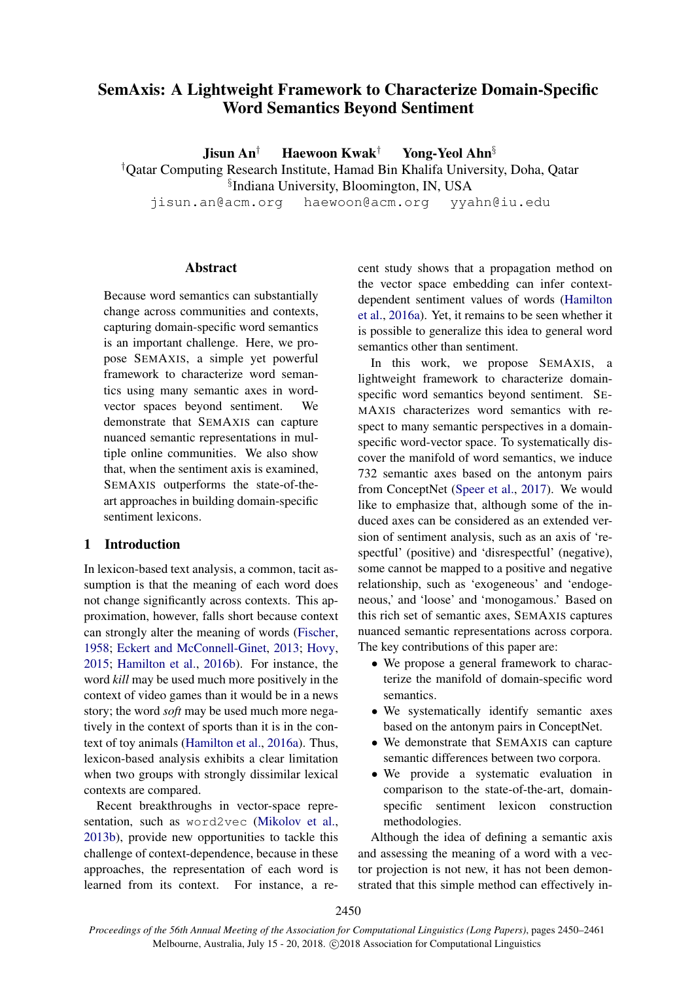# SemAxis: A Lightweight Framework to Characterize Domain-Specific Word Semantics Beyond Sentiment

Jisun An<sup>†</sup> Haewoon Kwak<sup>†</sup> Yong-Yeol Ahn<sup>§</sup>

†Qatar Computing Research Institute, Hamad Bin Khalifa University, Doha, Qatar

§ Indiana University, Bloomington, IN, USA

jisun.an@acm.org haewoon@acm.org yyahn@iu.edu

# **Abstract**

Because word semantics can substantially change across communities and contexts, capturing domain-specific word semantics is an important challenge. Here, we propose SEMAXIS, a simple yet powerful framework to characterize word semantics using many semantic axes in wordvector spaces beyond sentiment. We demonstrate that SEMAXIS can capture nuanced semantic representations in multiple online communities. We also show that, when the sentiment axis is examined, SEMAXIS outperforms the state-of-theart approaches in building domain-specific sentiment lexicons.

# 1 Introduction

In lexicon-based text analysis, a common, tacit assumption is that the meaning of each word does not change significantly across contexts. This approximation, however, falls short because context can strongly alter the meaning of words [\(Fischer,](#page-9-0) [1958;](#page-9-0) [Eckert and McConnell-Ginet,](#page-9-1) [2013;](#page-9-1) [Hovy,](#page-9-2) [2015;](#page-9-2) [Hamilton et al.,](#page-9-3) [2016b\)](#page-9-3). For instance, the word *kill* may be used much more positively in the context of video games than it would be in a news story; the word *soft* may be used much more negatively in the context of sports than it is in the context of toy animals [\(Hamilton et al.,](#page-9-4) [2016a\)](#page-9-4). Thus, lexicon-based analysis exhibits a clear limitation when two groups with strongly dissimilar lexical contexts are compared.

Recent breakthroughs in vector-space representation, such as word2vec [\(Mikolov et al.,](#page-9-5) [2013b\)](#page-9-5), provide new opportunities to tackle this challenge of context-dependence, because in these approaches, the representation of each word is learned from its context. For instance, a re-

cent study shows that a propagation method on the vector space embedding can infer contextdependent sentiment values of words [\(Hamilton](#page-9-4) [et al.,](#page-9-4) [2016a\)](#page-9-4). Yet, it remains to be seen whether it is possible to generalize this idea to general word semantics other than sentiment.

In this work, we propose SEMAXIS, a lightweight framework to characterize domainspecific word semantics beyond sentiment. SE-MAXIS characterizes word semantics with respect to many semantic perspectives in a domainspecific word-vector space. To systematically discover the manifold of word semantics, we induce 732 semantic axes based on the antonym pairs from ConceptNet [\(Speer et al.,](#page-10-0) [2017\)](#page-10-0). We would like to emphasize that, although some of the induced axes can be considered as an extended version of sentiment analysis, such as an axis of 'respectful' (positive) and 'disrespectful' (negative), some cannot be mapped to a positive and negative relationship, such as 'exogeneous' and 'endogeneous,' and 'loose' and 'monogamous.' Based on this rich set of semantic axes, SEMAXIS captures nuanced semantic representations across corpora. The key contributions of this paper are:

- We propose a general framework to characterize the manifold of domain-specific word semantics.
- We systematically identify semantic axes based on the antonym pairs in ConceptNet.
- We demonstrate that SEMAXIS can capture semantic differences between two corpora.
- We provide a systematic evaluation in comparison to the state-of-the-art, domainspecific sentiment lexicon construction methodologies.

Although the idea of defining a semantic axis and assessing the meaning of a word with a vector projection is not new, it has not been demonstrated that this simple method can effectively in-

2450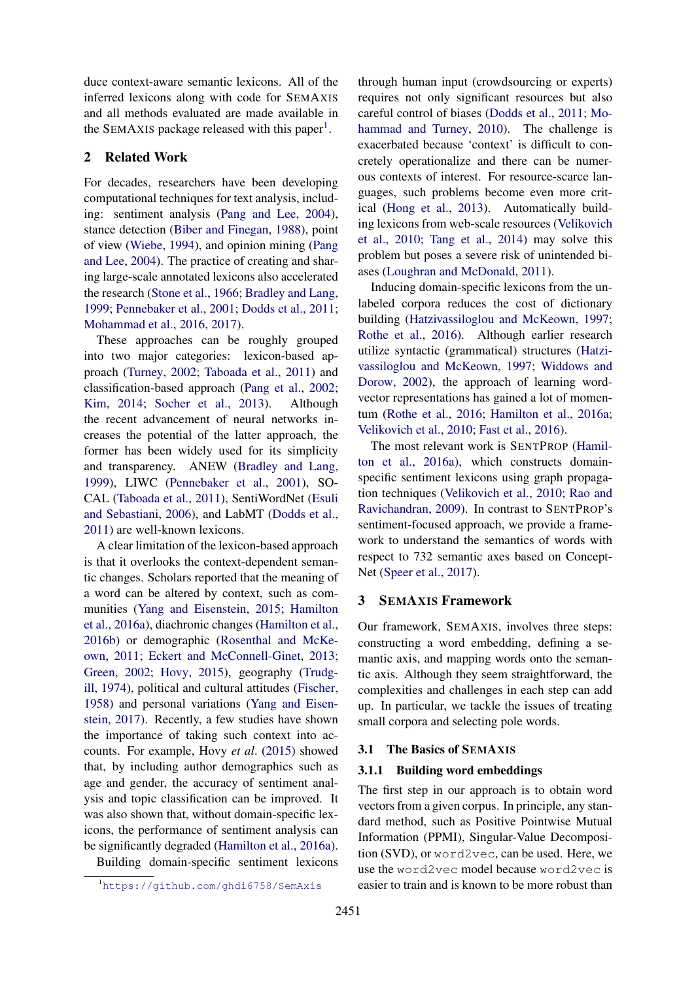duce context-aware semantic lexicons. All of the inferred lexicons along with code for SEMAXIS and all methods evaluated are made available in the SEMAXIS package released with this paper<sup>[1](#page-1-0)</sup>.

### 2 Related Work

For decades, researchers have been developing computational techniques for text analysis, including: sentiment analysis [\(Pang and Lee,](#page-10-1) [2004\)](#page-10-1), stance detection [\(Biber and Finegan,](#page-9-6) [1988\)](#page-9-6), point of view [\(Wiebe,](#page-10-2) [1994\)](#page-10-2), and opinion mining [\(Pang](#page-10-1) [and Lee,](#page-10-1) [2004\)](#page-10-1). The practice of creating and sharing large-scale annotated lexicons also accelerated the research [\(Stone et al.,](#page-10-3) [1966;](#page-10-3) [Bradley and Lang,](#page-9-7) [1999;](#page-9-7) [Pennebaker et al.,](#page-10-4) [2001;](#page-10-4) [Dodds et al.,](#page-9-8) [2011;](#page-9-8) [Mohammad et al.,](#page-9-9) [2016,](#page-9-9) [2017\)](#page-9-10).

These approaches can be roughly grouped into two major categories: lexicon-based approach [\(Turney,](#page-10-5) [2002;](#page-10-5) [Taboada et al.,](#page-10-6) [2011\)](#page-10-6) and classification-based approach [\(Pang et al.,](#page-10-7) [2002;](#page-10-7) [Kim,](#page-9-11) [2014;](#page-9-11) [Socher et al.,](#page-10-8) [2013\)](#page-10-8). Although the recent advancement of neural networks increases the potential of the latter approach, the former has been widely used for its simplicity and transparency. ANEW [\(Bradley and Lang,](#page-9-7) [1999\)](#page-9-7), LIWC [\(Pennebaker et al.,](#page-10-4) [2001\)](#page-10-4), SO-CAL [\(Taboada et al.,](#page-10-6) [2011\)](#page-10-6), SentiWordNet [\(Esuli](#page-9-12) [and Sebastiani,](#page-9-12) [2006\)](#page-9-12), and LabMT [\(Dodds et al.,](#page-9-8) [2011\)](#page-9-8) are well-known lexicons.

A clear limitation of the lexicon-based approach is that it overlooks the context-dependent semantic changes. Scholars reported that the meaning of a word can be altered by context, such as communities [\(Yang and Eisenstein,](#page-11-0) [2015;](#page-11-0) [Hamilton](#page-9-4) [et al.,](#page-9-4) [2016a\)](#page-9-4), diachronic changes [\(Hamilton et al.,](#page-9-3) [2016b\)](#page-9-3) or demographic [\(Rosenthal and McKe](#page-10-9)[own,](#page-10-9) [2011;](#page-10-9) [Eckert and McConnell-Ginet,](#page-9-1) [2013;](#page-9-1) [Green,](#page-9-13) [2002;](#page-9-13) [Hovy,](#page-9-2) [2015\)](#page-9-2), geography [\(Trudg](#page-10-10)[ill,](#page-10-10) [1974\)](#page-10-10), political and cultural attitudes [\(Fischer,](#page-9-0) [1958\)](#page-9-0) and personal variations [\(Yang and Eisen](#page-11-1)[stein,](#page-11-1) [2017\)](#page-11-1). Recently, a few studies have shown the importance of taking such context into accounts. For example, Hovy *et al*. [\(2015\)](#page-9-2) showed that, by including author demographics such as age and gender, the accuracy of sentiment analysis and topic classification can be improved. It was also shown that, without domain-specific lexicons, the performance of sentiment analysis can be significantly degraded [\(Hamilton et al.,](#page-9-4) [2016a\)](#page-9-4).

Building domain-specific sentiment lexicons

<span id="page-1-0"></span><sup>1</sup><https://github.com/ghdi6758/SemAxis>

through human input (crowdsourcing or experts) requires not only significant resources but also careful control of biases [\(Dodds et al.,](#page-9-8) [2011;](#page-9-8) [Mo](#page-9-14)[hammad and Turney,](#page-9-14) [2010\)](#page-9-14). The challenge is exacerbated because 'context' is difficult to concretely operationalize and there can be numerous contexts of interest. For resource-scarce languages, such problems become even more critical [\(Hong et al.,](#page-9-15) [2013\)](#page-9-15). Automatically building lexicons from web-scale resources [\(Velikovich](#page-10-11) [et al.,](#page-10-11) [2010;](#page-10-11) [Tang et al.,](#page-10-12) [2014\)](#page-10-12) may solve this problem but poses a severe risk of unintended biases [\(Loughran and McDonald,](#page-9-16) [2011\)](#page-9-16).

Inducing domain-specific lexicons from the unlabeled corpora reduces the cost of dictionary building [\(Hatzivassiloglou and McKeown,](#page-9-17) [1997;](#page-9-17) [Rothe et al.,](#page-10-13) [2016\)](#page-10-13). Although earlier research utilize syntactic (grammatical) structures [\(Hatzi](#page-9-17)[vassiloglou and McKeown,](#page-9-17) [1997;](#page-9-17) [Widdows and](#page-10-14) [Dorow,](#page-10-14) [2002\)](#page-10-14), the approach of learning wordvector representations has gained a lot of momentum [\(Rothe et al.,](#page-10-13) [2016;](#page-10-13) [Hamilton et al.,](#page-9-4) [2016a;](#page-9-4) [Velikovich et al.,](#page-10-11) [2010;](#page-10-11) [Fast et al.,](#page-9-18) [2016\)](#page-9-18).

The most relevant work is SENTPROP [\(Hamil](#page-9-4)[ton et al.,](#page-9-4) [2016a\)](#page-9-4), which constructs domainspecific sentiment lexicons using graph propagation techniques [\(Velikovich et al.,](#page-10-11) [2010;](#page-10-11) [Rao and](#page-10-15) [Ravichandran,](#page-10-15) [2009\)](#page-10-15). In contrast to SENTPROP's sentiment-focused approach, we provide a framework to understand the semantics of words with respect to 732 semantic axes based on Concept-Net [\(Speer et al.,](#page-10-0) [2017\)](#page-10-0).

### 3 SEMAXIS Framework

Our framework, SEMAXIS, involves three steps: constructing a word embedding, defining a semantic axis, and mapping words onto the semantic axis. Although they seem straightforward, the complexities and challenges in each step can add up. In particular, we tackle the issues of treating small corpora and selecting pole words.

#### 3.1 The Basics of SEMAXIS

#### 3.1.1 Building word embeddings

The first step in our approach is to obtain word vectors from a given corpus. In principle, any standard method, such as Positive Pointwise Mutual Information (PPMI), Singular-Value Decomposition (SVD), or word2vec, can be used. Here, we use the word2vec model because word2vec is easier to train and is known to be more robust than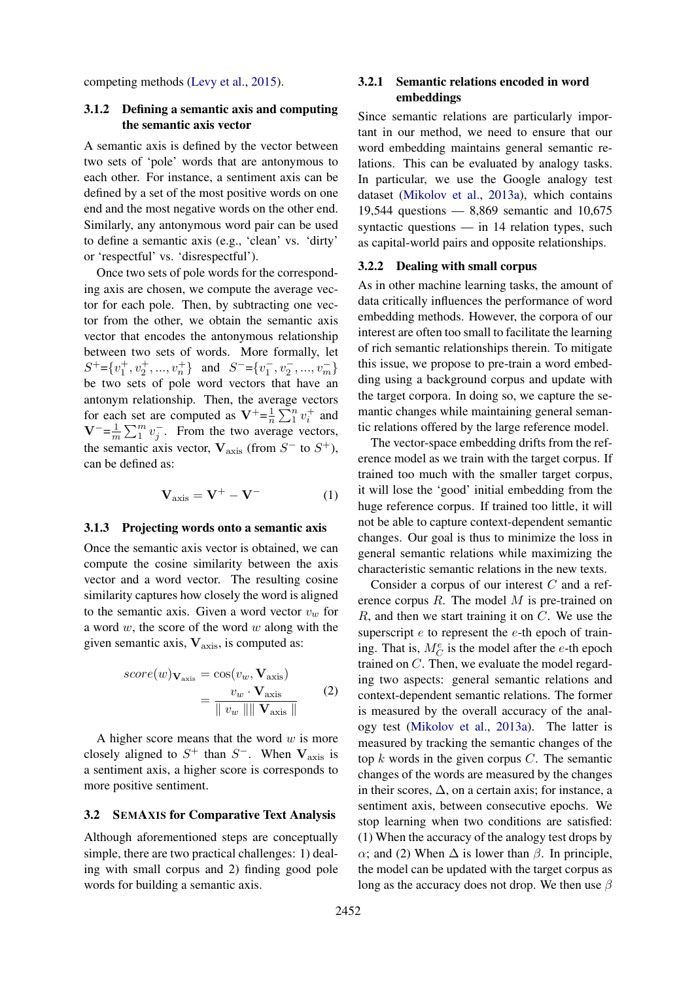competing methods [\(Levy et al.,](#page-9-19) [2015\)](#page-9-19).

# 3.1.2 Defining a semantic axis and computing the semantic axis vector

A semantic axis is defined by the vector between two sets of 'pole' words that are antonymous to each other. For instance, a sentiment axis can be defined by a set of the most positive words on one end and the most negative words on the other end. Similarly, any antonymous word pair can be used to define a semantic axis (e.g., 'clean' vs. 'dirty' or 'respectful' vs. 'disrespectful').

Once two sets of pole words for the corresponding axis are chosen, we compute the average vector for each pole. Then, by subtracting one vector from the other, we obtain the semantic axis vector that encodes the antonymous relationship between two sets of words. More formally, let  $S^+ = \{v_1^+, v_2^+, ..., v_n^+\}$  and  $S^- = \{v_1^-, v_2^-, ..., v_m^-\}$ be two sets of pole word vectors that have an antonym relationship. Then, the average vectors for each set are computed as  $V^+=\frac{1}{n}$  $\frac{1}{n} \sum_{1}^{n} v_i^+$  and  $V^{-}=\frac{1}{n}$  $\frac{1}{m}\sum_{i=1}^{m}v_{i}^{-}$ . From the two average vectors, the semantic axis vector,  $V_{\text{axis}}$  (from  $S^-$  to  $S^+$ ), can be defined as:

$$
\mathbf{V}_{\text{axis}} = \mathbf{V}^+ - \mathbf{V}^- \tag{1}
$$

### 3.1.3 Projecting words onto a semantic axis

Once the semantic axis vector is obtained, we can compute the cosine similarity between the axis vector and a word vector. The resulting cosine similarity captures how closely the word is aligned to the semantic axis. Given a word vector  $v_w$  for a word  $w$ , the score of the word  $w$  along with the given semantic axis,  $V_{\text{axis}}$ , is computed as:

$$
score(w)\mathbf{v}_{\text{axis}} = \cos(v_w, \mathbf{V}_{\text{axis}})
$$

$$
= \frac{v_w \cdot \mathbf{V}_{\text{axis}}}{\|v_w\| \|\mathbf{V}_{\text{axis}}\|}
$$
(2)

A higher score means that the word  $w$  is more closely aligned to  $S^+$  than  $S^-$ . When  $V_{\text{axis}}$  is a sentiment axis, a higher score is corresponds to more positive sentiment.

#### 3.2 SEMAXIS for Comparative Text Analysis

Although aforementioned steps are conceptually simple, there are two practical challenges: 1) dealing with small corpus and 2) finding good pole words for building a semantic axis.

# 3.2.1 Semantic relations encoded in word embeddings

Since semantic relations are particularly important in our method, we need to ensure that our word embedding maintains general semantic relations. This can be evaluated by analogy tasks. In particular, we use the Google analogy test dataset [\(Mikolov et al.,](#page-9-20) [2013a\)](#page-9-20), which contains 19,544 questions — 8,869 semantic and 10,675 syntactic questions — in 14 relation types, such as capital-world pairs and opposite relationships.

#### <span id="page-2-0"></span>3.2.2 Dealing with small corpus

As in other machine learning tasks, the amount of data critically influences the performance of word embedding methods. However, the corpora of our interest are often too small to facilitate the learning of rich semantic relationships therein. To mitigate this issue, we propose to pre-train a word embedding using a background corpus and update with the target corpora. In doing so, we capture the semantic changes while maintaining general semantic relations offered by the large reference model.

The vector-space embedding drifts from the reference model as we train with the target corpus. If trained too much with the smaller target corpus, it will lose the 'good' initial embedding from the huge reference corpus. If trained too little, it will not be able to capture context-dependent semantic changes. Our goal is thus to minimize the loss in general semantic relations while maximizing the characteristic semantic relations in the new texts.

Consider a corpus of our interest C and a reference corpus R. The model M is pre-trained on  $R$ , and then we start training it on  $C$ . We use the superscript  $e$  to represent the  $e$ -th epoch of training. That is,  $M_C^e$  is the model after the e-th epoch trained on C. Then, we evaluate the model regarding two aspects: general semantic relations and context-dependent semantic relations. The former is measured by the overall accuracy of the analogy test [\(Mikolov et al.,](#page-9-20) [2013a\)](#page-9-20). The latter is measured by tracking the semantic changes of the top  $k$  words in the given corpus  $C$ . The semantic changes of the words are measured by the changes in their scores,  $\Delta$ , on a certain axis; for instance, a sentiment axis, between consecutive epochs. We stop learning when two conditions are satisfied: (1) When the accuracy of the analogy test drops by α; and (2) When  $\Delta$  is lower than  $\beta$ . In principle, the model can be updated with the target corpus as long as the accuracy does not drop. We then use  $\beta$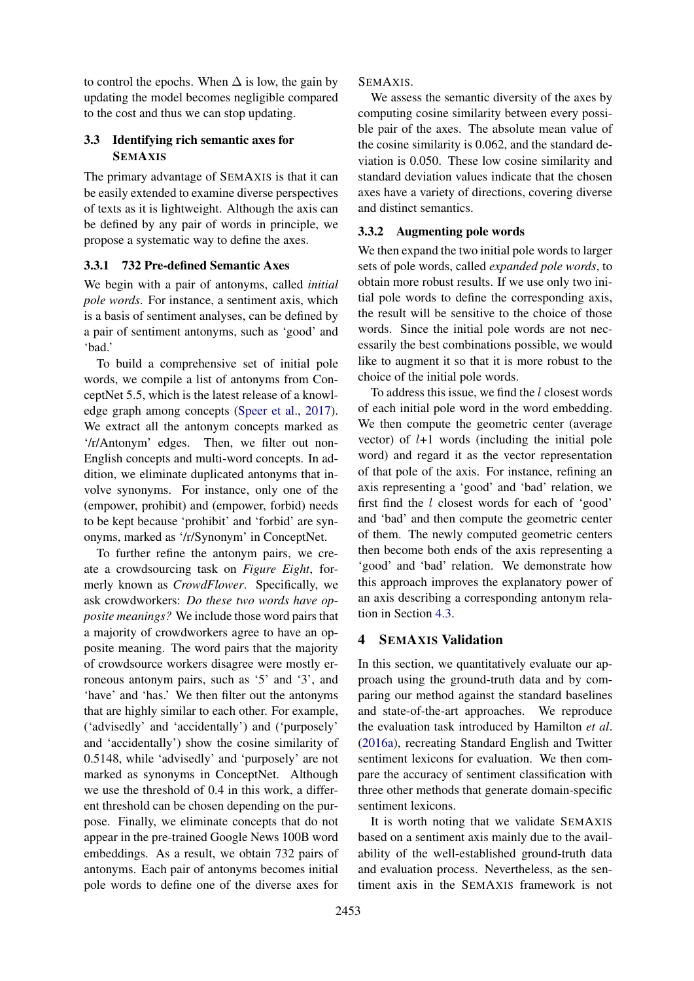to control the epochs. When  $\Delta$  is low, the gain by updating the model becomes negligible compared to the cost and thus we can stop updating.

# 3.3 Identifying rich semantic axes for SEMAXIS

The primary advantage of SEMAXIS is that it can be easily extended to examine diverse perspectives of texts as it is lightweight. Although the axis can be defined by any pair of words in principle, we propose a systematic way to define the axes.

# <span id="page-3-1"></span>3.3.1 732 Pre-defined Semantic Axes

We begin with a pair of antonyms, called *initial pole words*. For instance, a sentiment axis, which is a basis of sentiment analyses, can be defined by a pair of sentiment antonyms, such as 'good' and 'bad.'

To build a comprehensive set of initial pole words, we compile a list of antonyms from ConceptNet 5.5, which is the latest release of a knowledge graph among concepts [\(Speer et al.,](#page-10-0) [2017\)](#page-10-0). We extract all the antonym concepts marked as '/r/Antonym' edges. Then, we filter out non-English concepts and multi-word concepts. In addition, we eliminate duplicated antonyms that involve synonyms. For instance, only one of the (empower, prohibit) and (empower, forbid) needs to be kept because 'prohibit' and 'forbid' are synonyms, marked as '/r/Synonym' in ConceptNet.

To further refine the antonym pairs, we create a crowdsourcing task on *Figure Eight*, formerly known as *CrowdFlower*. Specifically, we ask crowdworkers: *Do these two words have opposite meanings?* We include those word pairs that a majority of crowdworkers agree to have an opposite meaning. The word pairs that the majority of crowdsource workers disagree were mostly erroneous antonym pairs, such as '5' and '3', and 'have' and 'has.' We then filter out the antonyms that are highly similar to each other. For example, ('advisedly' and 'accidentally') and ('purposely' and 'accidentally') show the cosine similarity of 0.5148, while 'advisedly' and 'purposely' are not marked as synonyms in ConceptNet. Although we use the threshold of 0.4 in this work, a different threshold can be chosen depending on the purpose. Finally, we eliminate concepts that do not appear in the pre-trained Google News 100B word embeddings. As a result, we obtain 732 pairs of antonyms. Each pair of antonyms becomes initial pole words to define one of the diverse axes for SEMAXIS.

We assess the semantic diversity of the axes by computing cosine similarity between every possible pair of the axes. The absolute mean value of the cosine similarity is 0.062, and the standard deviation is 0.050. These low cosine similarity and standard deviation values indicate that the chosen axes have a variety of directions, covering diverse and distinct semantics.

# <span id="page-3-0"></span>3.3.2 Augmenting pole words

We then expand the two initial pole words to larger sets of pole words, called *expanded pole words*, to obtain more robust results. If we use only two initial pole words to define the corresponding axis, the result will be sensitive to the choice of those words. Since the initial pole words are not necessarily the best combinations possible, we would like to augment it so that it is more robust to the choice of the initial pole words.

To address this issue, we find the l closest words of each initial pole word in the word embedding. We then compute the geometric center (average vector) of  $l+1$  words (including the initial pole word) and regard it as the vector representation of that pole of the axis. For instance, refining an axis representing a 'good' and 'bad' relation, we first find the  $l$  closest words for each of 'good' and 'bad' and then compute the geometric center of them. The newly computed geometric centers then become both ends of the axis representing a 'good' and 'bad' relation. We demonstrate how this approach improves the explanatory power of an axis describing a corresponding antonym relation in Section [4.3.](#page-4-0)

# 4 SEMAXIS Validation

In this section, we quantitatively evaluate our approach using the ground-truth data and by comparing our method against the standard baselines and state-of-the-art approaches. We reproduce the evaluation task introduced by Hamilton *et al*. [\(2016a\)](#page-9-4), recreating Standard English and Twitter sentiment lexicons for evaluation. We then compare the accuracy of sentiment classification with three other methods that generate domain-specific sentiment lexicons.

It is worth noting that we validate SEMAXIS based on a sentiment axis mainly due to the availability of the well-established ground-truth data and evaluation process. Nevertheless, as the sentiment axis in the SEMAXIS framework is not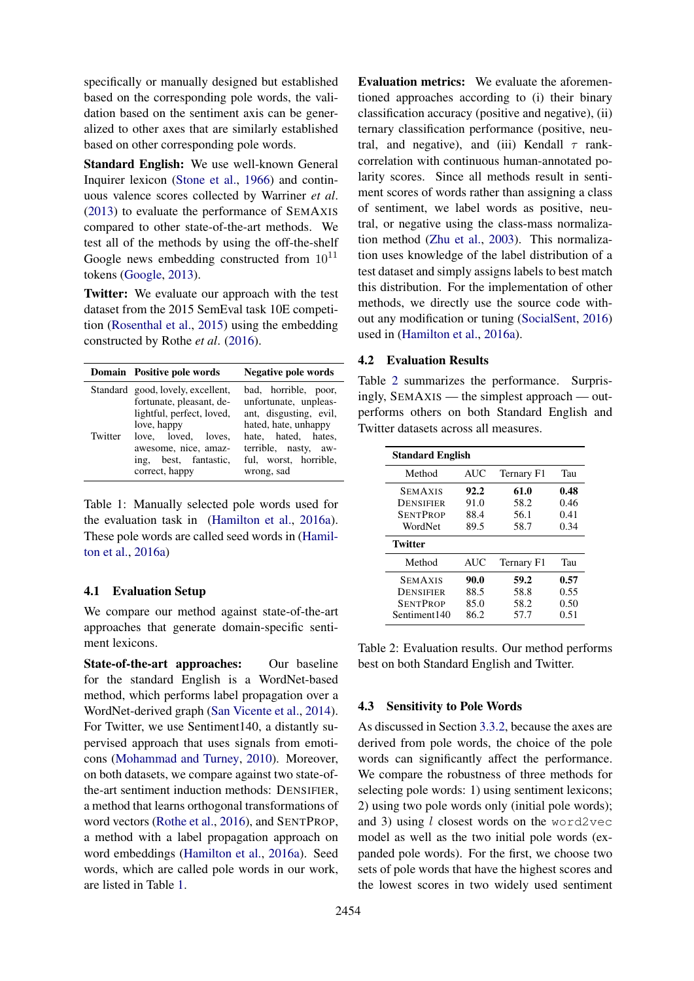specifically or manually designed but established based on the corresponding pole words, the validation based on the sentiment axis can be generalized to other axes that are similarly established based on other corresponding pole words.

Standard English: We use well-known General Inquirer lexicon [\(Stone et al.,](#page-10-3) [1966\)](#page-10-3) and continuous valence scores collected by Warriner *et al*. [\(2013\)](#page-10-16) to evaluate the performance of SEMAXIS compared to other state-of-the-art methods. We test all of the methods by using the off-the-shelf Google news embedding constructed from  $10^{11}$ tokens [\(Google,](#page-9-21) [2013\)](#page-9-21).

Twitter: We evaluate our approach with the test dataset from the 2015 SemEval task 10E competition [\(Rosenthal et al.,](#page-10-17) [2015\)](#page-10-17) using the embedding constructed by Rothe *et al*. [\(2016\)](#page-10-13).

|         | Domain Positive pole words                                                                                | Negative pole words                                                                             |
|---------|-----------------------------------------------------------------------------------------------------------|-------------------------------------------------------------------------------------------------|
|         | Standard good, lovely, excellent,<br>fortunate, pleasant, de-<br>lightful, perfect, loved,<br>love, happy | bad, horrible, poor,<br>unfortunate, unpleas-<br>ant, disgusting, evil,<br>hated, hate, unhappy |
| Twitter | love, loved, loves,<br>awesome, nice, amaz-<br>ing, best, fantastic,<br>correct, happy                    | hate, hated, hates,<br>terrible, nasty, aw-<br>ful, worst, horrible,<br>wrong, sad              |

<span id="page-4-1"></span>Table 1: Manually selected pole words used for the evaluation task in [\(Hamilton et al.,](#page-9-4) [2016a\)](#page-9-4). These pole words are called seed words in [\(Hamil](#page-9-4)[ton et al.,](#page-9-4) [2016a\)](#page-9-4)

# 4.1 Evaluation Setup

We compare our method against state-of-the-art approaches that generate domain-specific sentiment lexicons.

State-of-the-art approaches: Our baseline for the standard English is a WordNet-based method, which performs label propagation over a WordNet-derived graph [\(San Vicente et al.,](#page-10-18) [2014\)](#page-10-18). For Twitter, we use Sentiment140, a distantly supervised approach that uses signals from emoticons [\(Mohammad and Turney,](#page-9-14) [2010\)](#page-9-14). Moreover, on both datasets, we compare against two state-ofthe-art sentiment induction methods: DENSIFIER, a method that learns orthogonal transformations of word vectors [\(Rothe et al.,](#page-10-13) [2016\)](#page-10-13), and SENTPROP, a method with a label propagation approach on word embeddings [\(Hamilton et al.,](#page-9-4) [2016a\)](#page-9-4). Seed words, which are called pole words in our work, are listed in Table [1.](#page-4-1)

Evaluation metrics: We evaluate the aforementioned approaches according to (i) their binary classification accuracy (positive and negative), (ii) ternary classification performance (positive, neutral, and negative), and (iii) Kendall  $\tau$  rankcorrelation with continuous human-annotated polarity scores. Since all methods result in sentiment scores of words rather than assigning a class of sentiment, we label words as positive, neutral, or negative using the class-mass normalization method [\(Zhu et al.,](#page-11-2) [2003\)](#page-11-2). This normalization uses knowledge of the label distribution of a test dataset and simply assigns labels to best match this distribution. For the implementation of other methods, we directly use the source code without any modification or tuning [\(SocialSent,](#page-10-19) [2016\)](#page-10-19) used in [\(Hamilton et al.,](#page-9-4) [2016a\)](#page-9-4).

#### 4.2 Evaluation Results

Table [2](#page-4-2) summarizes the performance. Surprisingly, SEMAXIS — the simplest approach — outperforms others on both Standard English and Twitter datasets across all measures.

| <b>Standard English</b> |            |            |      |  |  |
|-------------------------|------------|------------|------|--|--|
| Method                  | <b>AUC</b> | Ternary F1 | Tau  |  |  |
| <b>SEMAXIS</b>          | 92.2       | 61.0       | 0.48 |  |  |
| DENSIFIER               | 91.0       | 58.2       | 0.46 |  |  |
| <b>SENTPROP</b>         | 88.4       | 56.1       | 0.41 |  |  |
| WordNet                 | 89.5       | 58.7       | 0.34 |  |  |
| <b>Twitter</b>          |            |            |      |  |  |
| Method                  | <b>AUC</b> | Ternary F1 | Tau  |  |  |
| <b>SEMAXIS</b>          | 90.0       | 59.2       | 0.57 |  |  |
| DENSIFIER               | 88.5       | 58.8       | 0.55 |  |  |
| <b>SENTPROP</b>         | 85.0       | 58.2       | 0.50 |  |  |
| Sentiment140            | 86.2       | 57.7       | 0.51 |  |  |

<span id="page-4-2"></span>Table 2: Evaluation results. Our method performs best on both Standard English and Twitter.

#### <span id="page-4-0"></span>4.3 Sensitivity to Pole Words

As discussed in Section [3.3.2,](#page-3-0) because the axes are derived from pole words, the choice of the pole words can significantly affect the performance. We compare the robustness of three methods for selecting pole words: 1) using sentiment lexicons; 2) using two pole words only (initial pole words); and 3) using  $l$  closest words on the word2vec model as well as the two initial pole words (expanded pole words). For the first, we choose two sets of pole words that have the highest scores and the lowest scores in two widely used sentiment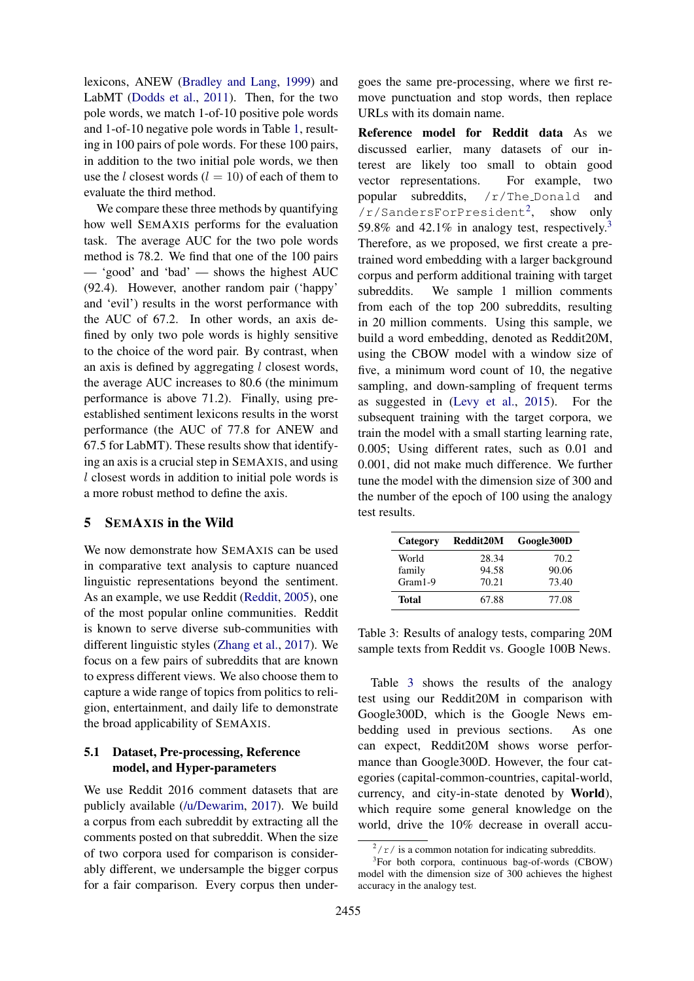lexicons, ANEW [\(Bradley and Lang,](#page-9-7) [1999\)](#page-9-7) and LabMT [\(Dodds et al.,](#page-9-8) [2011\)](#page-9-8). Then, for the two pole words, we match 1-of-10 positive pole words and 1-of-10 negative pole words in Table [1,](#page-4-1) resulting in 100 pairs of pole words. For these 100 pairs, in addition to the two initial pole words, we then use the *l* closest words  $(l = 10)$  of each of them to evaluate the third method.

We compare these three methods by quantifying how well SEMAXIS performs for the evaluation task. The average AUC for the two pole words method is 78.2. We find that one of the 100 pairs — 'good' and 'bad' — shows the highest AUC (92.4). However, another random pair ('happy' and 'evil') results in the worst performance with the AUC of 67.2. In other words, an axis defined by only two pole words is highly sensitive to the choice of the word pair. By contrast, when an axis is defined by aggregating  $l$  closest words, the average AUC increases to 80.6 (the minimum performance is above 71.2). Finally, using preestablished sentiment lexicons results in the worst performance (the AUC of 77.8 for ANEW and 67.5 for LabMT). These results show that identifying an axis is a crucial step in SEMAXIS, and using l closest words in addition to initial pole words is a more robust method to define the axis.

### 5 SEMAXIS in the Wild

We now demonstrate how SEMAXIS can be used in comparative text analysis to capture nuanced linguistic representations beyond the sentiment. As an example, we use Reddit [\(Reddit,](#page-10-20) [2005\)](#page-10-20), one of the most popular online communities. Reddit is known to serve diverse sub-communities with different linguistic styles [\(Zhang et al.,](#page-11-3) [2017\)](#page-11-3). We focus on a few pairs of subreddits that are known to express different views. We also choose them to capture a wide range of topics from politics to religion, entertainment, and daily life to demonstrate the broad applicability of SEMAXIS.

# 5.1 Dataset, Pre-processing, Reference model, and Hyper-parameters

We use Reddit 2016 comment datasets that are publicly available [\(/u/Dewarim,](#page-10-21) [2017\)](#page-10-21). We build a corpus from each subreddit by extracting all the comments posted on that subreddit. When the size of two corpora used for comparison is considerably different, we undersample the bigger corpus for a fair comparison. Every corpus then under-

goes the same pre-processing, where we first remove punctuation and stop words, then replace URLs with its domain name.

Reference model for Reddit data As we discussed earlier, many datasets of our interest are likely too small to obtain good vector representations. For example, two popular subreddits, /r/The Donald and /r/SandersForPresident[2](#page-5-0) , show only 59.8% and 42.1% in analogy test, respectively.<sup>[3](#page-5-1)</sup> Therefore, as we proposed, we first create a pretrained word embedding with a larger background corpus and perform additional training with target subreddits. We sample 1 million comments from each of the top 200 subreddits, resulting in 20 million comments. Using this sample, we build a word embedding, denoted as Reddit20M, using the CBOW model with a window size of five, a minimum word count of 10, the negative sampling, and down-sampling of frequent terms as suggested in [\(Levy et al.,](#page-9-19) [2015\)](#page-9-19). For the subsequent training with the target corpora, we train the model with a small starting learning rate, 0.005; Using different rates, such as 0.01 and 0.001, did not make much difference. We further tune the model with the dimension size of 300 and the number of the epoch of 100 using the analogy test results.

| Category  | Reddit20M | Google300D |
|-----------|-----------|------------|
| World     | 28.34     | 70.2       |
| family    | 94.58     | 90.06      |
| $Gram1-9$ | 70.21     | 73.40      |
| Total     | 67.88     | 77.08      |

<span id="page-5-2"></span>Table 3: Results of analogy tests, comparing 20M sample texts from Reddit vs. Google 100B News.

Table [3](#page-5-2) shows the results of the analogy test using our Reddit20M in comparison with Google300D, which is the Google News embedding used in previous sections. As one can expect, Reddit20M shows worse performance than Google300D. However, the four categories (capital-common-countries, capital-world, currency, and city-in-state denoted by World), which require some general knowledge on the world, drive the 10% decrease in overall accu-

<span id="page-5-1"></span><span id="page-5-0"></span> $\sqrt{\frac{2}{r}}$  is a common notation for indicating subreddits.

<sup>3</sup> For both corpora, continuous bag-of-words (CBOW) model with the dimension size of 300 achieves the highest accuracy in the analogy test.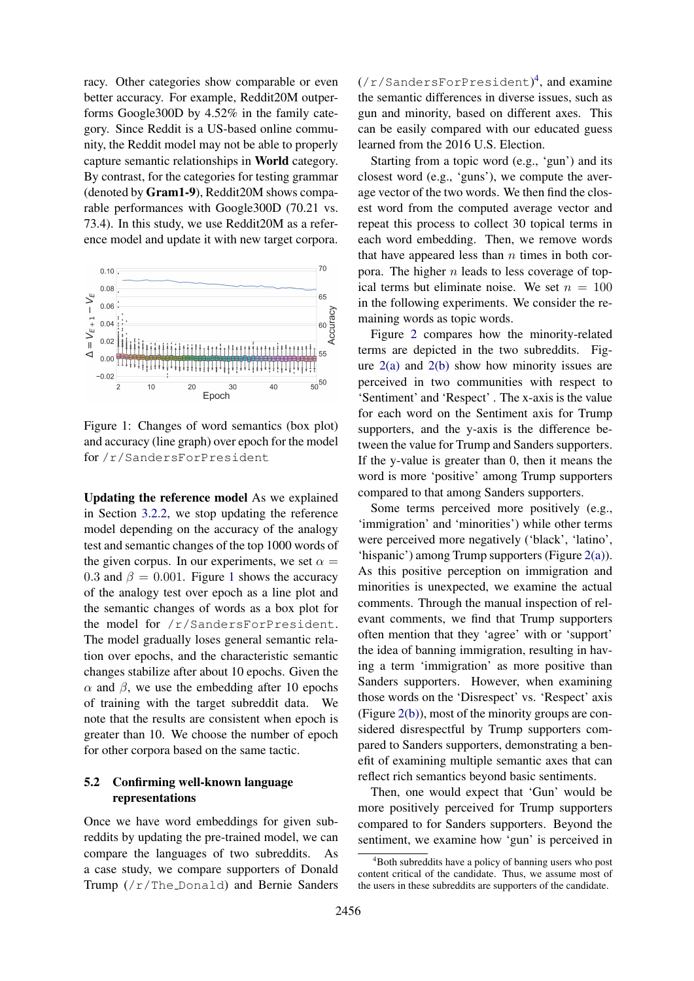racy. Other categories show comparable or even better accuracy. For example, Reddit20M outperforms Google300D by 4.52% in the family category. Since Reddit is a US-based online community, the Reddit model may not be able to properly capture semantic relationships in World category. By contrast, for the categories for testing grammar (denoted by Gram1-9), Reddit20M shows comparable performances with Google300D (70.21 vs. 73.4). In this study, we use Reddit20M as a reference model and update it with new target corpora.



<span id="page-6-0"></span>Figure 1: Changes of word semantics (box plot) and accuracy (line graph) over epoch for the model for /r/SandersForPresident

Updating the reference model As we explained in Section [3.2.2,](#page-2-0) we stop updating the reference model depending on the accuracy of the analogy test and semantic changes of the top 1000 words of the given corpus. In our experiments, we set  $\alpha =$ 0.3 and  $\beta = 0.001$  $\beta = 0.001$ . Figure 1 shows the accuracy of the analogy test over epoch as a line plot and the semantic changes of words as a box plot for the model for /r/SandersForPresident. The model gradually loses general semantic relation over epochs, and the characteristic semantic changes stabilize after about 10 epochs. Given the  $\alpha$  and  $\beta$ , we use the embedding after 10 epochs of training with the target subreddit data. We note that the results are consistent when epoch is greater than 10. We choose the number of epoch for other corpora based on the same tactic.

# 5.2 Confirming well-known language representations

Once we have word embeddings for given subreddits by updating the pre-trained model, we can compare the languages of two subreddits. As a case study, we compare supporters of Donald Trump (/r/The Donald) and Bernie Sanders

(/r/SandersForPresident) [4](#page-6-1) , and examine the semantic differences in diverse issues, such as gun and minority, based on different axes. This can be easily compared with our educated guess learned from the 2016 U.S. Election.

Starting from a topic word (e.g., 'gun') and its closest word (e.g., 'guns'), we compute the average vector of the two words. We then find the closest word from the computed average vector and repeat this process to collect 30 topical terms in each word embedding. Then, we remove words that have appeared less than  $n$  times in both corpora. The higher  $n$  leads to less coverage of topical terms but eliminate noise. We set  $n = 100$ in the following experiments. We consider the remaining words as topic words.

Figure [2](#page-7-0) compares how the minority-related terms are depicted in the two subreddits. Figure  $2(a)$  and  $2(b)$  show how minority issues are perceived in two communities with respect to 'Sentiment' and 'Respect' . The x-axis is the value for each word on the Sentiment axis for Trump supporters, and the y-axis is the difference between the value for Trump and Sanders supporters. If the y-value is greater than 0, then it means the word is more 'positive' among Trump supporters compared to that among Sanders supporters.

Some terms perceived more positively (e.g., 'immigration' and 'minorities') while other terms were perceived more negatively ('black', 'latino', 'hispanic') among Trump supporters (Figure [2\(a\)\)](#page-7-1). As this positive perception on immigration and minorities is unexpected, we examine the actual comments. Through the manual inspection of relevant comments, we find that Trump supporters often mention that they 'agree' with or 'support' the idea of banning immigration, resulting in having a term 'immigration' as more positive than Sanders supporters. However, when examining those words on the 'Disrespect' vs. 'Respect' axis (Figure [2\(b\)\)](#page-7-2), most of the minority groups are considered disrespectful by Trump supporters compared to Sanders supporters, demonstrating a benefit of examining multiple semantic axes that can reflect rich semantics beyond basic sentiments.

Then, one would expect that 'Gun' would be more positively perceived for Trump supporters compared to for Sanders supporters. Beyond the sentiment, we examine how 'gun' is perceived in

<span id="page-6-1"></span><sup>&</sup>lt;sup>4</sup>Both subreddits have a policy of banning users who post content critical of the candidate. Thus, we assume most of the users in these subreddits are supporters of the candidate.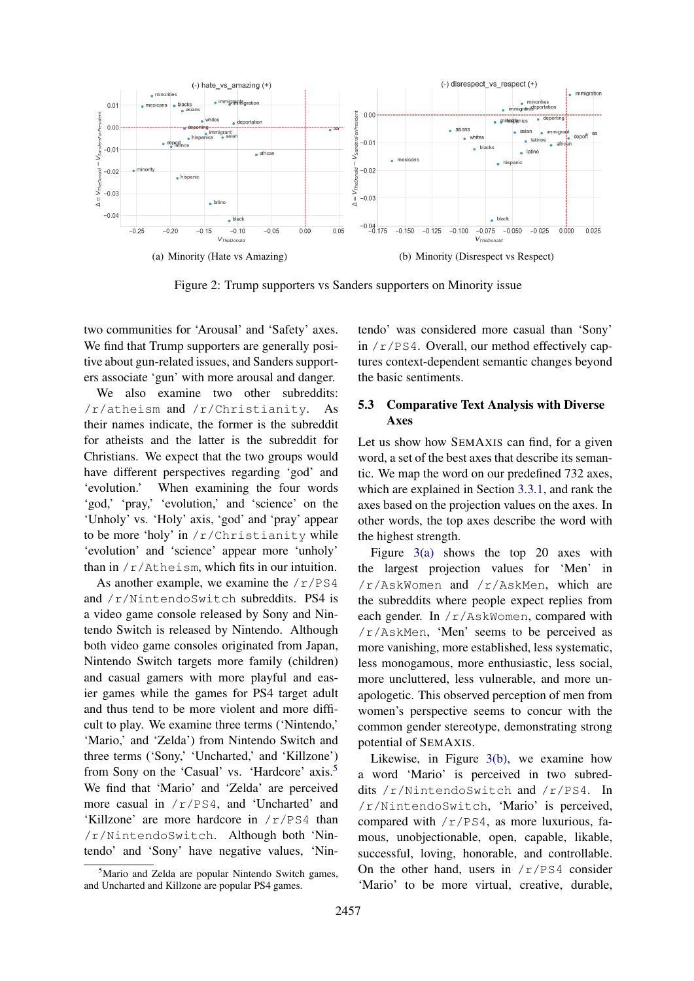<span id="page-7-1"></span>

<span id="page-7-0"></span>Figure 2: Trump supporters vs Sanders supporters on Minority issue

two communities for 'Arousal' and 'Safety' axes. We find that Trump supporters are generally positive about gun-related issues, and Sanders supporters associate 'gun' with more arousal and danger.

We also examine two other subreddits: /r/atheism and /r/Christianity. As their names indicate, the former is the subreddit for atheists and the latter is the subreddit for Christians. We expect that the two groups would have different perspectives regarding 'god' and 'evolution.' When examining the four words 'god,' 'pray,' 'evolution,' and 'science' on the 'Unholy' vs. 'Holy' axis, 'god' and 'pray' appear to be more 'holy' in  $/r$ /Christianity while 'evolution' and 'science' appear more 'unholy' than in /r/Atheism, which fits in our intuition.

As another example, we examine the  $/r/PS4$ and /r/NintendoSwitch subreddits. PS4 is a video game console released by Sony and Nintendo Switch is released by Nintendo. Although both video game consoles originated from Japan, Nintendo Switch targets more family (children) and casual gamers with more playful and easier games while the games for PS4 target adult and thus tend to be more violent and more difficult to play. We examine three terms ('Nintendo,' 'Mario,' and 'Zelda') from Nintendo Switch and three terms ('Sony,' 'Uncharted,' and 'Killzone') from Sony on the 'Casual' vs. 'Hardcore' axis.[5](#page-7-3) We find that 'Mario' and 'Zelda' are perceived more casual in /r/PS4, and 'Uncharted' and 'Killzone' are more hardcore in /r/PS4 than /r/NintendoSwitch. Although both 'Nintendo' and 'Sony' have negative values, 'Nin<span id="page-7-2"></span>tendo' was considered more casual than 'Sony' in  $/r$ /PS4. Overall, our method effectively captures context-dependent semantic changes beyond the basic sentiments.

# 5.3 Comparative Text Analysis with Diverse Axes

Let us show how SEMAXIS can find, for a given word, a set of the best axes that describe its semantic. We map the word on our predefined 732 axes, which are explained in Section [3.3.1,](#page-3-1) and rank the axes based on the projection values on the axes. In other words, the top axes describe the word with the highest strength.

Figure [3\(a\)](#page-8-0) shows the top 20 axes with the largest projection values for 'Men' in /r/AskWomen and /r/AskMen, which are the subreddits where people expect replies from each gender. In /r/AskWomen, compared with /r/AskMen, 'Men' seems to be perceived as more vanishing, more established, less systematic, less monogamous, more enthusiastic, less social, more uncluttered, less vulnerable, and more unapologetic. This observed perception of men from women's perspective seems to concur with the common gender stereotype, demonstrating strong potential of SEMAXIS.

Likewise, in Figure [3\(b\),](#page-8-1) we examine how a word 'Mario' is perceived in two subreddits /r/NintendoSwitch and /r/PS4. In /r/NintendoSwitch, 'Mario' is perceived, compared with  $/r/PS4$ , as more luxurious, famous, unobjectionable, open, capable, likable, successful, loving, honorable, and controllable. On the other hand, users in  $/r/PS4$  consider 'Mario' to be more virtual, creative, durable,

<span id="page-7-3"></span><sup>&</sup>lt;sup>5</sup>Mario and Zelda are popular Nintendo Switch games, and Uncharted and Killzone are popular PS4 games.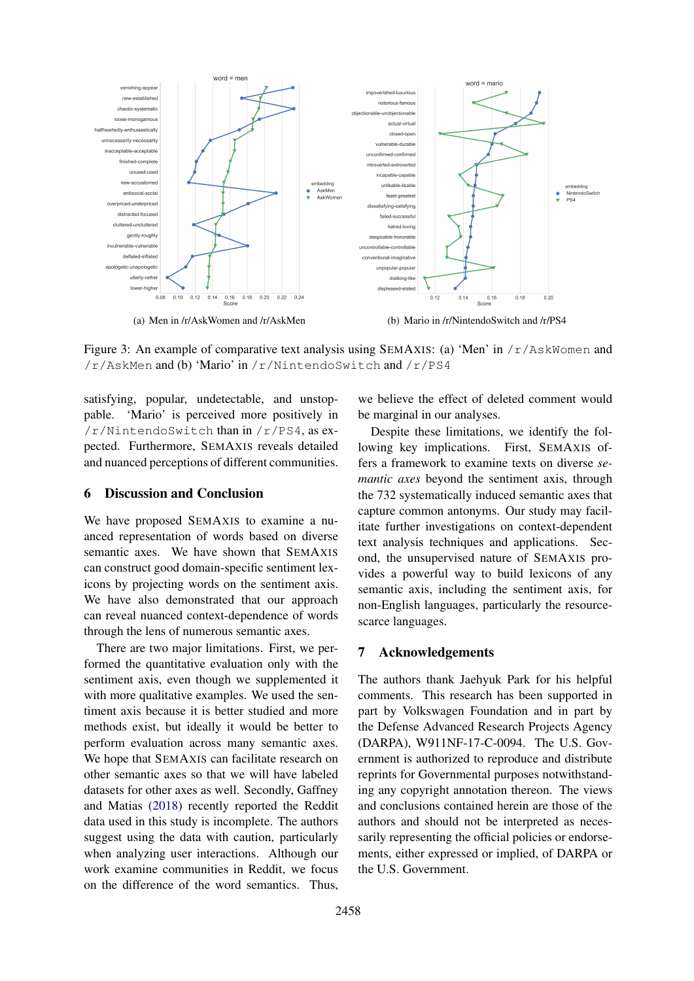<span id="page-8-0"></span>

Figure 3: An example of comparative text analysis using SEMAXIS: (a) 'Men' in  $/r/$ AskWomen and /r/AskMen and (b) 'Mario' in /r/NintendoSwitch and /r/PS4

satisfying, popular, undetectable, and unstoppable. 'Mario' is perceived more positively in /r/NintendoSwitch than in /r/PS4, as expected. Furthermore, SEMAXIS reveals detailed and nuanced perceptions of different communities.

#### 6 Discussion and Conclusion

We have proposed SEMAXIS to examine a nuanced representation of words based on diverse semantic axes. We have shown that SEMAXIS can construct good domain-specific sentiment lexicons by projecting words on the sentiment axis. We have also demonstrated that our approach can reveal nuanced context-dependence of words through the lens of numerous semantic axes.

There are two major limitations. First, we performed the quantitative evaluation only with the sentiment axis, even though we supplemented it with more qualitative examples. We used the sentiment axis because it is better studied and more methods exist, but ideally it would be better to perform evaluation across many semantic axes. We hope that SEMAXIS can facilitate research on other semantic axes so that we will have labeled datasets for other axes as well. Secondly, Gaffney and Matias [\(2018\)](#page-9-22) recently reported the Reddit data used in this study is incomplete. The authors suggest using the data with caution, particularly when analyzing user interactions. Although our work examine communities in Reddit, we focus on the difference of the word semantics. Thus,

<span id="page-8-1"></span>we believe the effect of deleted comment would be marginal in our analyses.

Despite these limitations, we identify the following key implications. First, SEMAXIS offers a framework to examine texts on diverse *semantic axes* beyond the sentiment axis, through the 732 systematically induced semantic axes that capture common antonyms. Our study may facilitate further investigations on context-dependent text analysis techniques and applications. Second, the unsupervised nature of SEMAXIS provides a powerful way to build lexicons of any semantic axis, including the sentiment axis, for non-English languages, particularly the resourcescarce languages.

#### 7 Acknowledgements

The authors thank Jaehyuk Park for his helpful comments. This research has been supported in part by Volkswagen Foundation and in part by the Defense Advanced Research Projects Agency (DARPA), W911NF-17-C-0094. The U.S. Government is authorized to reproduce and distribute reprints for Governmental purposes notwithstanding any copyright annotation thereon. The views and conclusions contained herein are those of the authors and should not be interpreted as necessarily representing the official policies or endorsements, either expressed or implied, of DARPA or the U.S. Government.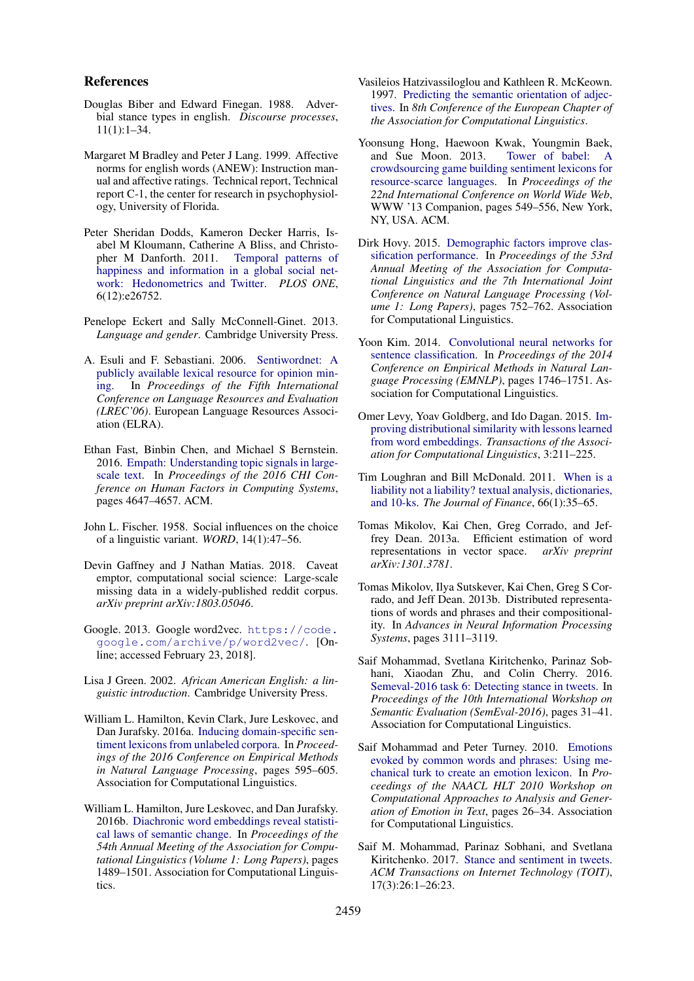#### References

- <span id="page-9-6"></span>Douglas Biber and Edward Finegan. 1988. Adverbial stance types in english. *Discourse processes*, 11(1):1–34.
- <span id="page-9-7"></span>Margaret M Bradley and Peter J Lang. 1999. Affective norms for english words (ANEW): Instruction manual and affective ratings. Technical report, Technical report C-1, the center for research in psychophysiology, University of Florida.
- <span id="page-9-8"></span>Peter Sheridan Dodds, Kameron Decker Harris, Isabel M Kloumann, Catherine A Bliss, and Christopher M Danforth. 2011. [Temporal patterns of](https://doi.org/10.1371/journal.pone.0026752) [happiness and information in a global social net](https://doi.org/10.1371/journal.pone.0026752)[work: Hedonometrics and Twitter.](https://doi.org/10.1371/journal.pone.0026752) *PLOS ONE*, 6(12):e26752.
- <span id="page-9-1"></span>Penelope Eckert and Sally McConnell-Ginet. 2013. *Language and gender*. Cambridge University Press.
- <span id="page-9-12"></span>A. Esuli and F. Sebastiani. 2006. [Sentiwordnet: A](http://www.aclweb.org/anthology/L06-1225) [publicly available lexical resource for opinion min](http://www.aclweb.org/anthology/L06-1225)[ing.](http://www.aclweb.org/anthology/L06-1225) In *Proceedings of the Fifth International Conference on Language Resources and Evaluation (LREC'06)*. European Language Resources Association (ELRA).
- <span id="page-9-18"></span>Ethan Fast, Binbin Chen, and Michael S Bernstein. 2016. [Empath: Understanding topic signals in large](https://doi.org/10.1145/2858036.2858535)[scale text.](https://doi.org/10.1145/2858036.2858535) In *Proceedings of the 2016 CHI Conference on Human Factors in Computing Systems*, pages 4647–4657. ACM.
- <span id="page-9-0"></span>John L. Fischer. 1958. Social influences on the choice of a linguistic variant. *WORD*, 14(1):47–56.
- <span id="page-9-22"></span>Devin Gaffney and J Nathan Matias. 2018. Caveat emptor, computational social science: Large-scale missing data in a widely-published reddit corpus. *arXiv preprint arXiv:1803.05046*.
- <span id="page-9-21"></span>Google. 2013. Google word2vec. [https://code.](https://code.google.com/archive/p/word2vec/) [google.com/archive/p/word2vec/](https://code.google.com/archive/p/word2vec/). [Online; accessed February 23, 2018].
- <span id="page-9-13"></span>Lisa J Green. 2002. *African American English: a linguistic introduction*. Cambridge University Press.
- <span id="page-9-4"></span>William L. Hamilton, Kevin Clark, Jure Leskovec, and Dan Jurafsky. 2016a. [Inducing domain-specific sen](https://doi.org/10.18653/v1/D16-1057)[timent lexicons from unlabeled corpora.](https://doi.org/10.18653/v1/D16-1057) In *Proceedings of the 2016 Conference on Empirical Methods in Natural Language Processing*, pages 595–605. Association for Computational Linguistics.
- <span id="page-9-3"></span>William L. Hamilton, Jure Leskovec, and Dan Jurafsky. 2016b. [Diachronic word embeddings reveal statisti](https://doi.org/10.18653/v1/P16-1141)[cal laws of semantic change.](https://doi.org/10.18653/v1/P16-1141) In *Proceedings of the 54th Annual Meeting of the Association for Computational Linguistics (Volume 1: Long Papers)*, pages 1489–1501. Association for Computational Linguistics.
- <span id="page-9-17"></span>Vasileios Hatzivassiloglou and Kathleen R. McKeown. 1997. [Predicting the semantic orientation of adjec](http://www.aclweb.org/anthology/E97-1023)[tives.](http://www.aclweb.org/anthology/E97-1023) In *8th Conference of the European Chapter of the Association for Computational Linguistics*.
- <span id="page-9-15"></span>Yoonsung Hong, Haewoon Kwak, Youngmin Baek, and Sue Moon. 2013. Tower of babel: [crowdsourcing game building sentiment lexicons for](https://doi.org/10.1145/2487788.2487993) [resource-scarce languages.](https://doi.org/10.1145/2487788.2487993) In *Proceedings of the 22nd International Conference on World Wide Web*, WWW '13 Companion, pages 549–556, New York, NY, USA. ACM.
- <span id="page-9-2"></span>Dirk Hovy. 2015. [Demographic factors improve clas](https://doi.org/10.3115/v1/P15-1073)[sification performance.](https://doi.org/10.3115/v1/P15-1073) In *Proceedings of the 53rd Annual Meeting of the Association for Computational Linguistics and the 7th International Joint Conference on Natural Language Processing (Volume 1: Long Papers)*, pages 752–762. Association for Computational Linguistics.
- <span id="page-9-11"></span>Yoon Kim. 2014. [Convolutional neural networks for](https://doi.org/10.3115/v1/D14-1181) [sentence classification.](https://doi.org/10.3115/v1/D14-1181) In *Proceedings of the 2014 Conference on Empirical Methods in Natural Language Processing (EMNLP)*, pages 1746–1751. Association for Computational Linguistics.
- <span id="page-9-19"></span>Omer Levy, Yoav Goldberg, and Ido Dagan. 2015. [Im](http://aclweb.org/anthology/Q15-1016)[proving distributional similarity with lessons learned](http://aclweb.org/anthology/Q15-1016) [from word embeddings.](http://aclweb.org/anthology/Q15-1016) *Transactions of the Association for Computational Linguistics*, 3:211–225.
- <span id="page-9-16"></span>Tim Loughran and Bill McDonald. 2011. [When is a](https://doi.org/10.1111/j.1540-6261.2010.01625.x) [liability not a liability? textual analysis, dictionaries,](https://doi.org/10.1111/j.1540-6261.2010.01625.x) [and 10-ks.](https://doi.org/10.1111/j.1540-6261.2010.01625.x) *The Journal of Finance*, 66(1):35–65.
- <span id="page-9-20"></span>Tomas Mikolov, Kai Chen, Greg Corrado, and Jeffrey Dean. 2013a. Efficient estimation of word representations in vector space. *arXiv preprint arXiv:1301.3781*.
- <span id="page-9-5"></span>Tomas Mikolov, Ilya Sutskever, Kai Chen, Greg S Corrado, and Jeff Dean. 2013b. Distributed representations of words and phrases and their compositionality. In *Advances in Neural Information Processing Systems*, pages 3111–3119.
- <span id="page-9-9"></span>Saif Mohammad, Svetlana Kiritchenko, Parinaz Sobhani, Xiaodan Zhu, and Colin Cherry. 2016. [Semeval-2016 task 6: Detecting stance in tweets.](https://doi.org/10.18653/v1/S16-1003) In *Proceedings of the 10th International Workshop on Semantic Evaluation (SemEval-2016)*, pages 31–41. Association for Computational Linguistics.
- <span id="page-9-14"></span>Saif Mohammad and Peter Turney. 2010. [Emotions](http://www.aclweb.org/anthology/W10-0204) [evoked by common words and phrases: Using me](http://www.aclweb.org/anthology/W10-0204)[chanical turk to create an emotion lexicon.](http://www.aclweb.org/anthology/W10-0204) In *Proceedings of the NAACL HLT 2010 Workshop on Computational Approaches to Analysis and Generation of Emotion in Text*, pages 26–34. Association for Computational Linguistics.
- <span id="page-9-10"></span>Saif M. Mohammad, Parinaz Sobhani, and Svetlana Kiritchenko. 2017. [Stance and sentiment in tweets.](https://doi.org/10.1145/3003433) *ACM Transactions on Internet Technology (TOIT)*, 17(3):26:1–26:23.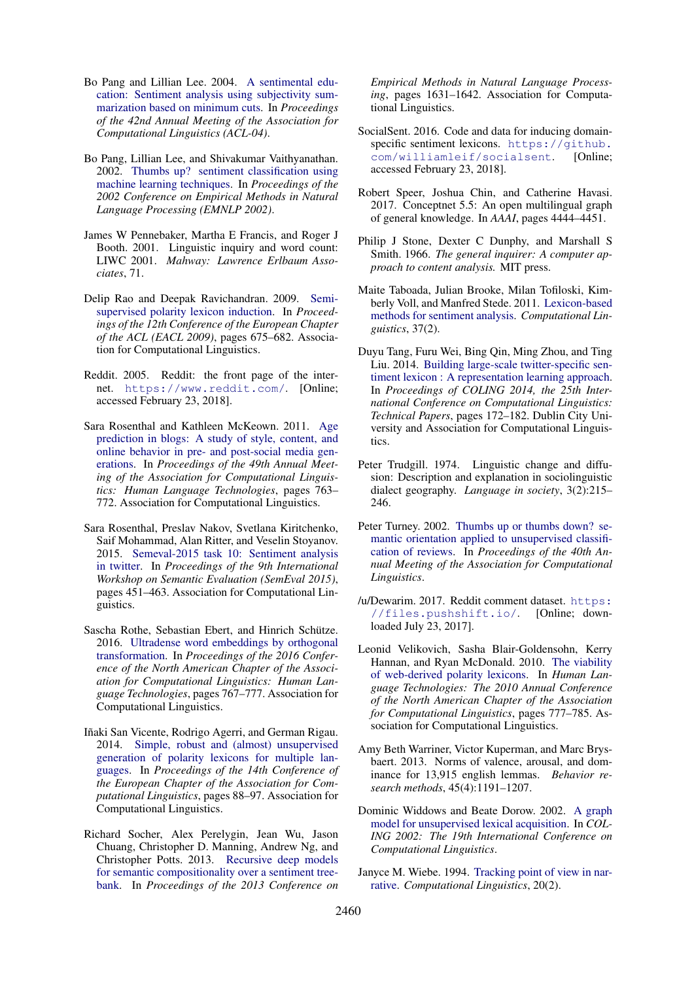- <span id="page-10-1"></span>Bo Pang and Lillian Lee. 2004. [A sentimental edu](http://www.aclweb.org/anthology/P04-1035)[cation: Sentiment analysis using subjectivity sum](http://www.aclweb.org/anthology/P04-1035)[marization based on minimum cuts.](http://www.aclweb.org/anthology/P04-1035) In *Proceedings of the 42nd Annual Meeting of the Association for Computational Linguistics (ACL-04)*.
- <span id="page-10-7"></span>Bo Pang, Lillian Lee, and Shivakumar Vaithyanathan. 2002. [Thumbs up? sentiment classification using](http://www.aclweb.org/anthology/W02-1011) [machine learning techniques.](http://www.aclweb.org/anthology/W02-1011) In *Proceedings of the 2002 Conference on Empirical Methods in Natural Language Processing (EMNLP 2002)*.
- <span id="page-10-4"></span>James W Pennebaker, Martha E Francis, and Roger J Booth. 2001. Linguistic inquiry and word count: LIWC 2001. *Mahway: Lawrence Erlbaum Associates*, 71.
- <span id="page-10-15"></span>Delip Rao and Deepak Ravichandran. 2009. [Semi](http://www.aclweb.org/anthology/E09-1077)[supervised polarity lexicon induction.](http://www.aclweb.org/anthology/E09-1077) In *Proceedings of the 12th Conference of the European Chapter of the ACL (EACL 2009)*, pages 675–682. Association for Computational Linguistics.
- <span id="page-10-20"></span>Reddit. 2005. Reddit: the front page of the internet. <https://www.reddit.com/>. [Online; accessed February 23, 2018].
- <span id="page-10-9"></span>Sara Rosenthal and Kathleen McKeown. 2011. [Age](http://www.aclweb.org/anthology/P11-1077) [prediction in blogs: A study of style, content, and](http://www.aclweb.org/anthology/P11-1077) [online behavior in pre- and post-social media gen](http://www.aclweb.org/anthology/P11-1077)[erations.](http://www.aclweb.org/anthology/P11-1077) In *Proceedings of the 49th Annual Meeting of the Association for Computational Linguistics: Human Language Technologies*, pages 763– 772. Association for Computational Linguistics.
- <span id="page-10-17"></span>Sara Rosenthal, Preslav Nakov, Svetlana Kiritchenko, Saif Mohammad, Alan Ritter, and Veselin Stoyanov. 2015. [Semeval-2015 task 10: Sentiment analysis](https://doi.org/10.18653/v1/S15-2078) [in twitter.](https://doi.org/10.18653/v1/S15-2078) In *Proceedings of the 9th International Workshop on Semantic Evaluation (SemEval 2015)*, pages 451–463. Association for Computational Linguistics.
- <span id="page-10-13"></span>Sascha Rothe, Sebastian Ebert, and Hinrich Schütze. 2016. [Ultradense word embeddings by orthogonal](https://doi.org/10.18653/v1/N16-1091) [transformation.](https://doi.org/10.18653/v1/N16-1091) In *Proceedings of the 2016 Conference of the North American Chapter of the Association for Computational Linguistics: Human Language Technologies*, pages 767–777. Association for Computational Linguistics.
- <span id="page-10-18"></span>Iñaki San Vicente, Rodrigo Agerri, and German Rigau. 2014. [Simple, robust and \(almost\) unsupervised](https://doi.org/10.3115/v1/E14-1010) [generation of polarity lexicons for multiple lan](https://doi.org/10.3115/v1/E14-1010)[guages.](https://doi.org/10.3115/v1/E14-1010) In *Proceedings of the 14th Conference of the European Chapter of the Association for Computational Linguistics*, pages 88–97. Association for Computational Linguistics.
- <span id="page-10-8"></span>Richard Socher, Alex Perelygin, Jean Wu, Jason Chuang, Christopher D. Manning, Andrew Ng, and Christopher Potts. 2013. [Recursive deep models](http://www.aclweb.org/anthology/D13-1170) [for semantic compositionality over a sentiment tree](http://www.aclweb.org/anthology/D13-1170)[bank.](http://www.aclweb.org/anthology/D13-1170) In *Proceedings of the 2013 Conference on*

*Empirical Methods in Natural Language Processing*, pages 1631–1642. Association for Computational Linguistics.

- <span id="page-10-19"></span>SocialSent. 2016. Code and data for inducing domainspecific sentiment lexicons. [https://github.](https://github.com/williamleif/socialsent) [com/williamleif/socialsent](https://github.com/williamleif/socialsent). [Online; accessed February 23, 2018].
- <span id="page-10-0"></span>Robert Speer, Joshua Chin, and Catherine Havasi. 2017. Conceptnet 5.5: An open multilingual graph of general knowledge. In *AAAI*, pages 4444–4451.
- <span id="page-10-3"></span>Philip J Stone, Dexter C Dunphy, and Marshall S Smith. 1966. *The general inquirer: A computer approach to content analysis.* MIT press.
- <span id="page-10-6"></span>Maite Taboada, Julian Brooke, Milan Tofiloski, Kimberly Voll, and Manfred Stede. 2011. [Lexicon-based](https://doi.org/10.1162/COLI_a_00049) [methods for sentiment analysis.](https://doi.org/10.1162/COLI_a_00049) *Computational Linguistics*, 37(2).
- <span id="page-10-12"></span>Duyu Tang, Furu Wei, Bing Qin, Ming Zhou, and Ting Liu. 2014. [Building large-scale twitter-specific sen](http://www.aclweb.org/anthology/C14-1018)[timent lexicon : A representation learning approach.](http://www.aclweb.org/anthology/C14-1018) In *Proceedings of COLING 2014, the 25th International Conference on Computational Linguistics: Technical Papers*, pages 172–182. Dublin City University and Association for Computational Linguistics.
- <span id="page-10-10"></span>Peter Trudgill. 1974. Linguistic change and diffusion: Description and explanation in sociolinguistic dialect geography. *Language in society*, 3(2):215– 246.
- <span id="page-10-5"></span>Peter Turney. 2002. [Thumbs up or thumbs down? se](http://www.aclweb.org/anthology/P02-1053)[mantic orientation applied to unsupervised classifi](http://www.aclweb.org/anthology/P02-1053)[cation of reviews.](http://www.aclweb.org/anthology/P02-1053) In *Proceedings of the 40th Annual Meeting of the Association for Computational Linguistics*.
- <span id="page-10-21"></span>/u/Dewarim. 2017. Reddit comment dataset. [https:](https://files.pushshift.io/) [//files.pushshift.io/](https://files.pushshift.io/). [Online; downloaded July 23, 2017].
- <span id="page-10-11"></span>Leonid Velikovich, Sasha Blair-Goldensohn, Kerry Hannan, and Ryan McDonald. 2010. [The viability](http://www.aclweb.org/anthology/N10-1119) [of web-derived polarity lexicons.](http://www.aclweb.org/anthology/N10-1119) In *Human Language Technologies: The 2010 Annual Conference of the North American Chapter of the Association for Computational Linguistics*, pages 777–785. Association for Computational Linguistics.
- <span id="page-10-16"></span>Amy Beth Warriner, Victor Kuperman, and Marc Brysbaert. 2013. Norms of valence, arousal, and dominance for 13,915 english lemmas. *Behavior research methods*, 45(4):1191–1207.
- <span id="page-10-14"></span>Dominic Widdows and Beate Dorow. 2002. [A graph](http://www.aclweb.org/anthology/C02-1114) [model for unsupervised lexical acquisition.](http://www.aclweb.org/anthology/C02-1114) In *COL-ING 2002: The 19th International Conference on Computational Linguistics*.
- <span id="page-10-2"></span>Janyce M. Wiebe. 1994. [Tracking point of view in nar](http://www.aclweb.org/anthology/J94-2004)[rative.](http://www.aclweb.org/anthology/J94-2004) *Computational Linguistics*, 20(2).